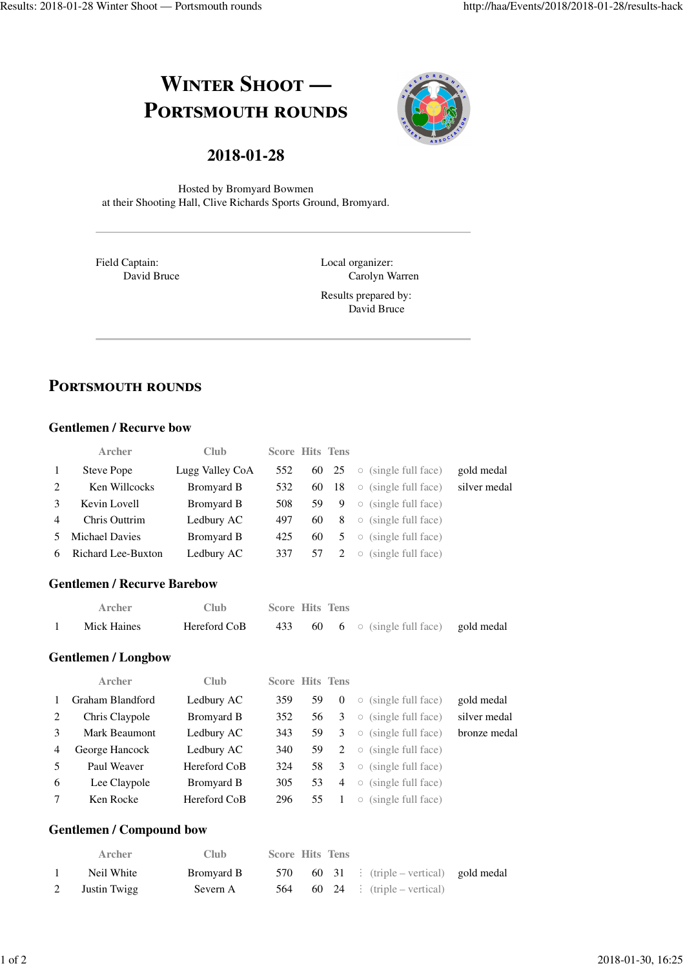# **WINTER SHOOT — PORTSMOUTH ROUNDS**



# **2018-01-28**

Hosted by Bromyard Bowmen at their Shooting Hall, Clive Richards Sports Ground, Bromyard.

Field Captain: David Bruce Local organizer: Carolyn Warren Results prepared by:

David Bruce

# **PORTSMOUTH ROUNDS**

#### **Gentlemen / Recurve bow**

|                | <b>Archer</b>        | <b>Club</b>     | <b>Score Hits Tens</b> |     |       |         |                            |              |
|----------------|----------------------|-----------------|------------------------|-----|-------|---------|----------------------------|--------------|
| $\mathbf{1}$   | Steve Pope           | Lugg Valley CoA | 552                    |     | 60 25 |         | $\circ$ (single full face) | gold medal   |
| 2              | Ken Willcocks        | Bromyard B      | 532                    |     | 60 18 |         | $\circ$ (single full face) | silver medal |
| 3              | Kevin Lovell         | Bromyard B      | 508                    | 59. | 9     |         | $\circ$ (single full face) |              |
| $\overline{4}$ | <b>Chris Outtrim</b> | Ledbury AC      | 497                    | 60  | 8     |         | $\circ$ (single full face) |              |
|                | 5 Michael Davies     | Bromyard B      | 425                    | 60  | 5     |         | $\circ$ (single full face) |              |
| 6              | Richard Lee-Buxton   | Ledbury AC      | 337                    | 57  | 2     | $\circ$ | (single full face)         |              |

#### **Gentlemen / Recurve Barebow**

| Archer      | Club.        | <b>Score Hits Tens</b> |  |                                                |  |
|-------------|--------------|------------------------|--|------------------------------------------------|--|
| Mick Haines | Hereford CoB |                        |  | 433 60 6 $\circ$ (single full face) gold medal |  |

#### **Gentlemen / Longbow**

|                | Archer           | Club         | <b>Score Hits Tens</b> |    |                |                     |                            |              |
|----------------|------------------|--------------|------------------------|----|----------------|---------------------|----------------------------|--------------|
| $\mathbf{1}$   | Graham Blandford | Ledbury AC   | 359                    | 59 | $\theta$       |                     | $\circ$ (single full face) | gold medal   |
| 2              | Chris Claypole   | Bromyard B   | 352                    | 56 | 3              | $\circ$             | (single full face)         | silver medal |
| 3              | Mark Beaumont    | Ledbury AC   | 343                    | 59 | 3              | $\circ$             | (single full face)         | bronze medal |
| $\overline{4}$ | George Hancock   | Ledbury AC   | 340                    | 59 | 2              |                     | $\circ$ (single full face) |              |
| 5              | Paul Weaver      | Hereford CoB | 324                    | 58 | 3              |                     | $\circ$ (single full face) |              |
| 6              | Lee Claypole     | Bromyard B   | 305                    | 53 | $\overline{4}$ | $\circ$             | (single full face)         |              |
| 7              | Ken Rocke        | Hereford CoB | 296                    | 55 |                | $\circlearrowright$ | (single full face)         |              |

#### **Gentlemen / Compound bow**

| <b>Archer</b>  | Club.      | <b>Score Hits Tens</b> |  |                                            |  |
|----------------|------------|------------------------|--|--------------------------------------------|--|
| Neil White     | Bromyard B |                        |  | 570 60 31 : (triple – vertical) gold medal |  |
| 2 Justin Twigg | Severn A   |                        |  | 564 60 24 : (triple – vertical)            |  |